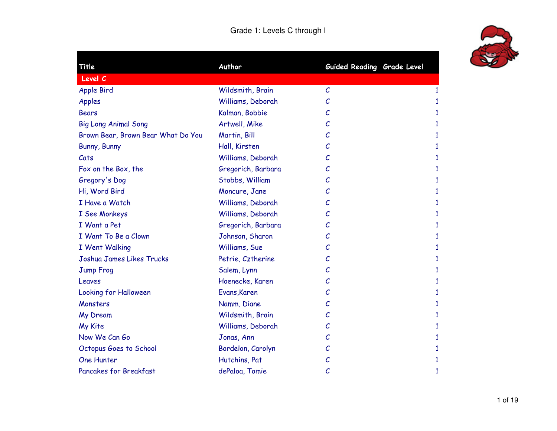## Grade 1: Levels C through I



| Title                              | Author             | Guided Reading Grade Level |   |
|------------------------------------|--------------------|----------------------------|---|
| Level C                            |                    |                            |   |
| <b>Apple Bird</b>                  | Wildsmith, Brain   | $\mathcal{C}$              | 1 |
| Apples                             | Williams, Deborah  | C                          | 1 |
| <b>Bears</b>                       | Kalman, Bobbie     | C                          | 1 |
| <b>Big Long Animal Song</b>        | Artwell, Mike      | С                          | 1 |
| Brown Bear, Brown Bear What Do You | Martin, Bill       | С                          | 1 |
| Bunny, Bunny                       | Hall, Kirsten      | С                          | 1 |
| Cats                               | Williams, Deborah  | С                          | 1 |
| Fox on the Box, the                | Gregorich, Barbara | C                          | 1 |
| Gregory's Dog                      | Stobbs, William    | С                          | 1 |
| Hi, Word Bird                      | Moncure, Jane      | С                          | 1 |
| I Have a Watch                     | Williams, Deborah  | С                          | 1 |
| <b>I</b> See Monkeys               | Williams, Deborah  | С                          | 1 |
| I Want a Pet                       | Gregorich, Barbara | С                          | 1 |
| I Want To Be a Clown               | Johnson, Sharon    | С                          | 1 |
| I Went Walking                     | Williams, Sue      | С                          | 1 |
| Joshua James Likes Trucks          | Petrie, Cztherine  | С                          | 1 |
| Jump Frog                          | Salem, Lynn        | C                          | 1 |
| Leaves                             | Hoenecke, Karen    | С                          | 1 |
| Looking for Halloween              | Evans, Karen       | С                          | 1 |
| Monsters                           | Namm, Diane        | С                          | 1 |
| My Dream                           | Wildsmith, Brain   | С                          | 1 |
| My Kite                            | Williams, Deborah  | С                          | 1 |
| Now We Can Go                      | Jonas, Ann         | С                          | 1 |
| Octopus Goes to School             | Bordelon, Carolyn  | С                          | 1 |
| <b>One Hunter</b>                  | Hutchins, Pat      | С                          | 1 |
| <b>Pancakes for Breakfast</b>      | dePaloa, Tomie     | С                          | 1 |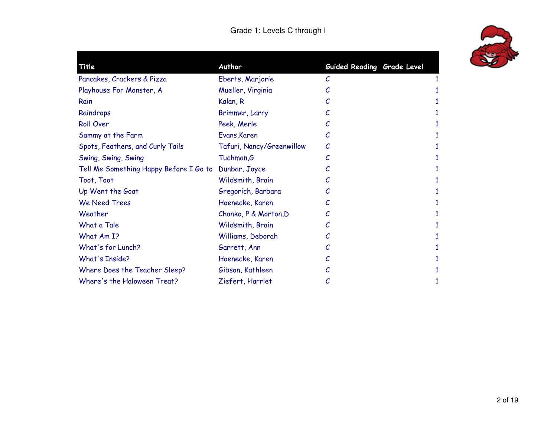

| Title                                  | Author                    | Guided Reading Grade Level |  |
|----------------------------------------|---------------------------|----------------------------|--|
| Pancakes, Crackers & Pizza             | Eberts, Marjorie          | C                          |  |
| Playhouse For Monster, A               | Mueller, Virginia         |                            |  |
| Rain                                   | Kalan, R                  |                            |  |
| Raindrops                              | Brimmer, Larry            |                            |  |
| <b>Roll Over</b>                       | Peek, Merle               | С                          |  |
| Sammy at the Farm                      | Evans, Karen              | С                          |  |
| Spots, Feathers, and Curly Tails       | Tafuri, Nancy/Greenwillow | C                          |  |
| Swing, Swing, Swing                    | Tuchman, G                |                            |  |
| Tell Me Something Happy Before I Go to | Dunbar, Joyce             |                            |  |
| Toot, Toot                             | Wildsmith, Brain          |                            |  |
| Up Went the Goat                       | Gregorich, Barbara        |                            |  |
| <b>We Need Trees</b>                   | Hoenecke, Karen           |                            |  |
| Weather                                | Chanko, P & Morton, D     |                            |  |
| What a Tale                            | Wildsmith, Brain          |                            |  |
| What Am I?                             | Williams, Deborah         |                            |  |
| What's for Lunch?                      | Garrett, Ann              |                            |  |
| <b>What's Inside?</b>                  | Hoenecke, Karen           |                            |  |
| Where Does the Teacher Sleep?          | Gibson, Kathleen          |                            |  |
| Where's the Haloween Treat?            | Ziefert, Harriet          | С                          |  |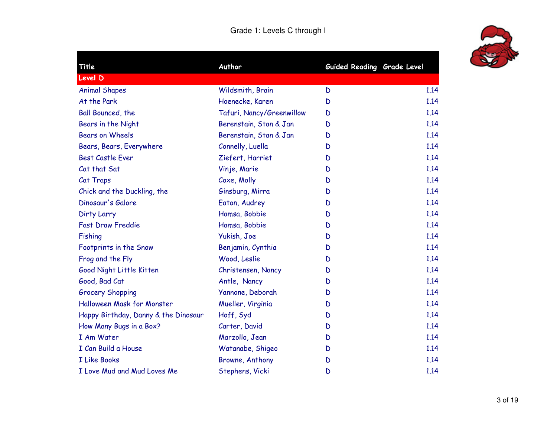

| Title                                | Author                    | Guided Reading Grade Level |      |
|--------------------------------------|---------------------------|----------------------------|------|
| Level D                              |                           |                            |      |
| <b>Animal Shapes</b>                 | Wildsmith, Brain          | D                          | 1.14 |
| At the Park                          | Hoenecke, Karen           | D                          | 1.14 |
| <b>Ball Bounced, the</b>             | Tafuri, Nancy/Greenwillow | D                          | 1.14 |
| Bears in the Night                   | Berenstain, Stan & Jan    | D                          | 1.14 |
| <b>Bears on Wheels</b>               | Berenstain, Stan & Jan    | D                          | 1.14 |
| Bears, Bears, Everywhere             | Connelly, Luella          | D                          | 1.14 |
| <b>Best Castle Ever</b>              | Ziefert, Harriet          | D                          | 1.14 |
| Cat that Sat                         | Vinje, Marie              | D                          | 1.14 |
| Cat Traps                            | Coxe, Molly               | D                          | 1.14 |
| Chick and the Duckling, the          | Ginsburg, Mirra           | D                          | 1.14 |
| Dinosaur's Galore                    | Eaton, Audrey             | D                          | 1.14 |
| Dirty Larry                          | Hamsa, Bobbie             | D                          | 1.14 |
| <b>Fast Draw Freddie</b>             | Hamsa, Bobbie             | D                          | 1.14 |
| Fishing                              | Yukish, Joe               | D                          | 1.14 |
| Footprints in the Snow               | Benjamin, Cynthia         | D                          | 1.14 |
| Frog and the Fly                     | Wood, Leslie              | D                          | 1.14 |
| Good Night Little Kitten             | Christensen, Nancy        | D                          | 1.14 |
| Good, Bad Cat                        | Antle, Nancy              | D                          | 1.14 |
| <b>Grocery Shopping</b>              | Yannone, Deborah          | D                          | 1.14 |
| Halloween Mask for Monster           | Mueller, Virginia         | D                          | 1.14 |
| Happy Birthday, Danny & the Dinosaur | Hoff, Syd                 | D                          | 1.14 |
| How Many Bugs in a Box?              | Carter, David             | D                          | 1.14 |
| I Am Water                           | Marzollo, Jean            | D                          | 1.14 |
| I Can Build a House                  | Watanabe, Shigeo          | D                          | 1.14 |
| <b>I Like Books</b>                  | Browne, Anthony           | D                          | 1.14 |
| I Love Mud and Mud Loves Me          | Stephens, Vicki           | D                          | 1.14 |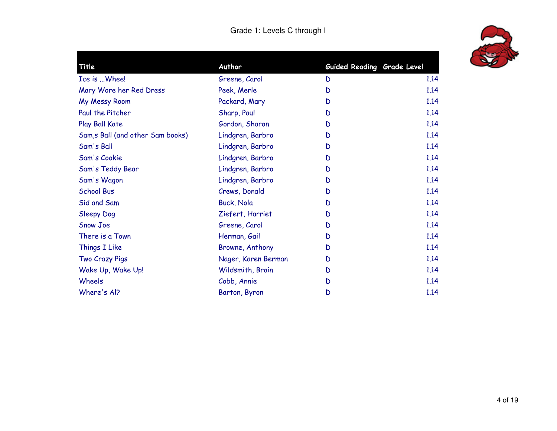## Grade 1: Levels C through I



| Title                             | Author              | Guided Reading Grade Level |      |
|-----------------------------------|---------------------|----------------------------|------|
| Ice is  Whee!                     | Greene, Carol       | D                          | 1.14 |
| Mary Wore her Red Dress           | Peek, Merle         | D                          | 1.14 |
| My Messy Room                     | Packard, Mary       | D                          | 1.14 |
| Paul the Pitcher                  | Sharp, Paul         | D                          | 1.14 |
| Play Ball Kate                    | Gordon, Sharon      | D                          | 1.14 |
| Sam, s Ball (and other Sam books) | Lindgren, Barbro    | D                          | 1.14 |
| Sam's Ball                        | Lindgren, Barbro    | D                          | 1.14 |
| Sam's Cookie                      | Lindgren, Barbro    | D                          | 1.14 |
| Sam's Teddy Bear                  | Lindgren, Barbro    | D                          | 1.14 |
| Sam's Wagon                       | Lindgren, Barbro    | D                          | 1.14 |
| <b>School Bus</b>                 | Crews, Donald       | D                          | 1.14 |
| Sid and Sam                       | <b>Buck, Nola</b>   | D                          | 1.14 |
| <b>Sleepy Dog</b>                 | Ziefert, Harriet    | D                          | 1.14 |
| Snow Joe                          | Greene, Carol       | D                          | 1.14 |
| There is a Town                   | Herman, Gail        | D                          | 1.14 |
| Things I Like                     | Browne, Anthony     | D                          | 1.14 |
| Two Crazy Pigs                    | Nager, Karen Berman | D                          | 1.14 |
| Wake Up, Wake Up!                 | Wildsmith, Brain    | D                          | 1.14 |
| Wheels                            | Cobb, Annie         | D                          | 1.14 |
| Where's Al?                       | Barton, Byron       | D                          | 1.14 |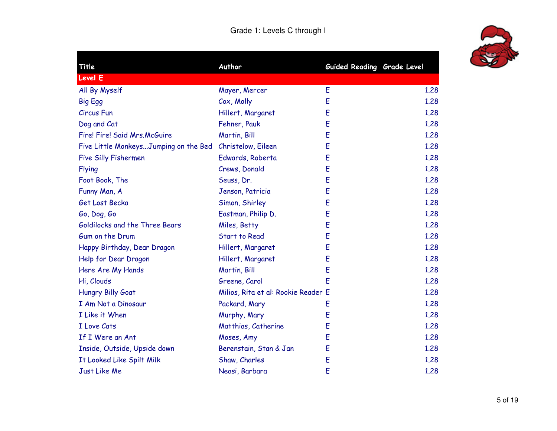

| Title                                 | Author                              | <b>Guided Reading Grade Level</b> |      |
|---------------------------------------|-------------------------------------|-----------------------------------|------|
| Level E                               |                                     |                                   |      |
| All By Myself                         | Mayer, Mercer                       | E                                 | 1.28 |
| <b>Big Egg</b>                        | Cox, Molly                          | E                                 | 1,28 |
| <b>Circus Fun</b>                     | Hillert, Margaret                   | Ė                                 | 1,28 |
| Dog and Cat                           | Fehner, Pauk                        | E                                 | 1,28 |
| Fire! Fire! Said Mrs.McGuire          | Martin, Bill                        | E                                 | 1.28 |
| Five Little MonkeysJumping on the Bed | Christelow, Eileen                  | E                                 | 1.28 |
| <b>Five Silly Fishermen</b>           | Edwards, Roberta                    | E                                 | 1.28 |
| <b>Flying</b>                         | Crews, Donald                       | E                                 | 1.28 |
| Foot Book, The                        | Seuss, Dr.                          | E                                 | 1.28 |
| Funny Man, A                          | Jenson, Patricia                    | E                                 | 1.28 |
| Get Lost Becka                        | Simon, Shirley                      | E                                 | 1.28 |
| Go, Dog, Go                           | Eastman, Philip D.                  | E                                 | 1.28 |
| Goldilocks and the Three Bears        | Miles, Betty                        | E                                 | 1.28 |
| Gum on the Drum                       | <b>Start to Read</b>                | E                                 | 1.28 |
| Happy Birthday, Dear Dragon           | Hillert, Margaret                   | E                                 | 1,28 |
| Help for Dear Dragon                  | Hillert, Margaret                   | E                                 | 1,28 |
| Here Are My Hands                     | Martin, Bill                        | E                                 | 1.28 |
| Hi, Clouds                            | Greene, Carol                       | Ë                                 | 1.28 |
| Hungry Billy Goat                     | Milios, Rita et al: Rookie Reader E |                                   | 1.28 |
| I Am Not a Dinosaur                   | Packard, Mary                       | E                                 | 1.28 |
| I Like it When                        | Murphy, Mary                        | E                                 | 1.28 |
| I Love Cats                           | Matthias, Catherine                 | E                                 | 1,28 |
| If I Were an Ant                      | Moses, Amy                          | E                                 | 1.28 |
| Inside, Outside, Upside down          | Berenstain, Stan & Jan              | E                                 | 1.28 |
| It Looked Like Spilt Milk             | Shaw, Charles                       | E                                 | 1.28 |
| Just Like Me                          | Neasi, Barbara                      | E                                 | 1.28 |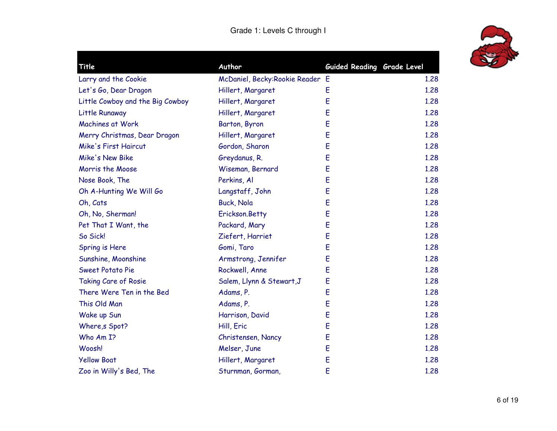

| Title                            | Author                          | Guided Reading Grade Level |      |
|----------------------------------|---------------------------------|----------------------------|------|
| Larry and the Cookie             | McDaniel, Becky:Rookie Reader E |                            | 1.28 |
| Let's Go, Dear Dragon            | Hillert, Margaret               | E                          | 1.28 |
| Little Cowboy and the Big Cowboy | Hillert, Margaret               | E                          | 1.28 |
| Little Runaway                   | Hillert, Margaret               | E                          | 1.28 |
| <b>Machines at Work</b>          | Barton, Byron                   | E                          | 1.28 |
| Merry Christmas, Dear Dragon     | Hillert, Margaret               | E                          | 1.28 |
| <b>Mike's First Haircut</b>      | Gordon, Sharon                  | E                          | 1,28 |
| <b>Mike's New Bike</b>           | Greydanus, R.                   | E                          | 1.28 |
| Morris the Moose                 | Wiseman, Bernard                | E                          | 1.28 |
| Nose Book, The                   | Perkins, Al                     | E                          | 1.28 |
| Oh A-Hunting We Will Go          | Langstaff, John                 | E                          | 1.28 |
| Oh, Cats                         | <b>Buck, Nola</b>               | E                          | 1.28 |
| Oh, No, Sherman!                 | Erickson.Betty                  | E                          | 1.28 |
| Pet That I Want, the             | Packard, Mary                   | E                          | 1.28 |
| So Sick!                         | Ziefert, Harriet                | E                          | 1.28 |
| Spring is Here                   | Gomi, Taro                      | E                          | 1.28 |
| Sunshine, Moonshine              | Armstrong, Jennifer             | E                          | 1.28 |
| Sweet Potato Pie                 | Rockwell, Anne                  | E                          | 1.28 |
| <b>Taking Care of Rosie</b>      | Salem, Llynn & Stewart, J       | E                          | 1.28 |
| There Were Ten in the Bed        | Adams, P.                       | E                          | 1.28 |
| This Old Man                     | Adams, P.                       | E                          | 1.28 |
| Wake up Sun                      | Harrison, David                 | E                          | 1.28 |
| Where, s Spot?                   | Hill, Eric                      | E                          | 1.28 |
| Who Am I?                        | Christensen, Nancy              | E                          | 1.28 |
| Woosh!                           | Melser, June                    | E                          | 1.28 |
| <b>Yellow Boat</b>               | Hillert, Margaret               | E                          | 1.28 |
| Zoo in Willy's Bed, The          | Sturnman, Gorman,               | E                          | 1.28 |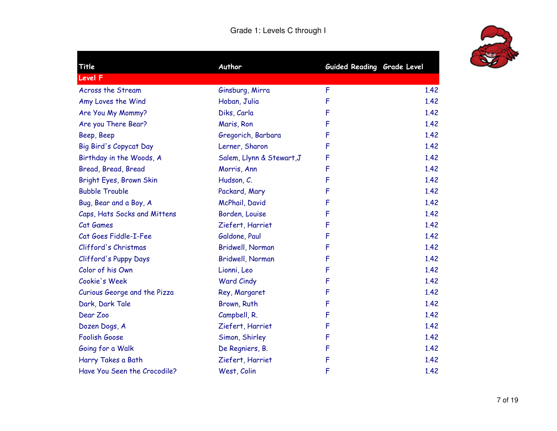

| <b>Title</b>                 | Author                    | Guided Reading Grade Level |      |
|------------------------------|---------------------------|----------------------------|------|
| <b>Level F</b>               |                           |                            |      |
| Across the Stream            | Ginsburg, Mirra           | F                          | 1.42 |
| Amy Loves the Wind           | Hoban, Julia              | F                          | 1.42 |
| Are You My Mommy?            | Diks, Carla               | F                          | 1.42 |
| Are you There Bear?          | Maris, Ron                | F                          | 1.42 |
| Beep, Beep                   | Gregorich, Barbara        | F                          | 1.42 |
| Big Bird's Copycat Day       | Lerner, Sharon            | F                          | 1.42 |
| Birthday in the Woods, A     | Salem, Llynn & Stewart, J | F                          | 1.42 |
| Bread, Bread, Bread          | Morris, Ann               | F                          | 1.42 |
| Bright Eyes, Brown Skin      | Hudson, C.                | F                          | 1.42 |
| <b>Bubble Trouble</b>        | Packard, Mary             | F                          | 1.42 |
| Bug, Bear and a Boy, A       | McPhail, David            | F                          | 1.42 |
| Caps, Hats Socks and Mittens | Borden, Louise            | F                          | 1.42 |
| Cat Games                    | Ziefert, Harriet          | F                          | 1.42 |
| Cat Goes Fiddle-I-Fee        | Galdone, Paul             | F                          | 1.42 |
| Clifford's Christmas         | Bridwell, Norman          | F                          | 1.42 |
| Clifford's Puppy Days        | Bridwell, Norman          | F                          | 1.42 |
| Color of his Own             | Lionni, Leo               | F                          | 1.42 |
| Cookie's Week                | <b>Ward Cindy</b>         | F                          | 1.42 |
| Curious George and the Pizza | Rey, Margaret             | F                          | 1.42 |
| Dark, Dark Tale              | Brown, Ruth               | F                          | 1.42 |
| Dear Zoo                     | Campbell, R.              | F                          | 1.42 |
| Dozen Dogs, A                | Ziefert, Harriet          | F                          | 1.42 |
| <b>Foolish Goose</b>         | Simon, Shirley            | F                          | 1.42 |
| Going for a Walk             | De Regniers, B.           | F                          | 1.42 |
| Harry Takes a Bath           | Ziefert, Harriet          | F                          | 1.42 |
| Have You Seen the Crocodile? | West, Colin               | F                          | 1.42 |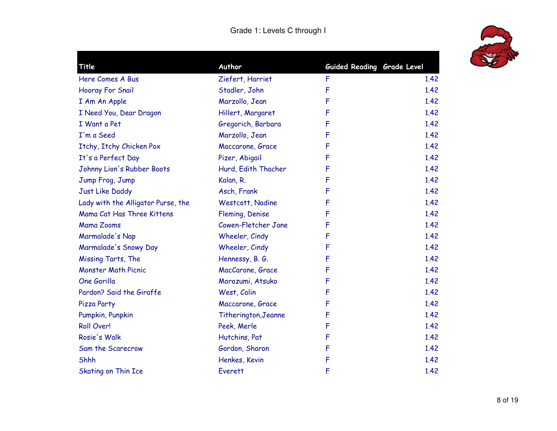

| Title                              | Author               | Guided Reading Grade Level |      |
|------------------------------------|----------------------|----------------------------|------|
| Here Comes A Bus                   | Ziefert, Harriet     | F                          | 1.42 |
| Hooray For Snail                   | Stadler, John        | F                          | 1.42 |
| I Am An Apple                      | Marzollo, Jean       | F                          | 1.42 |
| I Need You, Dear Dragon            | Hillert, Margaret    | F                          | 1.42 |
| I Want a Pet                       | Gregorich, Barbara   | F                          | 1.42 |
| I'm a Seed                         | Marzollo, Jean       | F                          | 1.42 |
| Itchy, Itchy Chicken Pox           | Maccarone, Grace     | F                          | 1.42 |
| It's a Perfect Day                 | Pizer, Abigail       | F                          | 1.42 |
| Johnny Lion's Rubber Boots         | Hurd, Edith Thacher  | F                          | 1.42 |
| Jump Frog, Jump                    | Kalan, R.            | F                          | 1.42 |
| Just Like Daddy                    | Asch, Frank          | F                          | 1.42 |
| Lady with the Alligator Purse, the | Westcott, Nadine     | F                          | 1.42 |
| Mama Cat Has Three Kittens         | Fleming, Denise      | F                          | 1.42 |
| <b>Mama Zooms</b>                  | Cowen-Fletcher Jane  | F                          | 1.42 |
| Marmalade's Nap                    | Wheeler, Cindy       | F                          | 1.42 |
| Marmalade's Snowy Day              | Wheeler, Cindy       | F                          | 1.42 |
| Missing Tarts, The                 | Hennessy, B. G.      | F                          | 1.42 |
| <b>Monster Math Picnic</b>         | MacCarone, Grace     | F                          | 1.42 |
| One Gorilla                        | Morozumi, Atsuko     | F                          | 1.42 |
| Pardon? Said the Giraffe           | West, Colin          | F                          | 1.42 |
| Pizza Party                        | Maccarone, Grace     | F                          | 1.42 |
| Pumpkin, Punpkin                   | Titherington, Jeanne | F                          | 1.42 |
| Roll Over!                         | Peek, Merle          | F                          | 1.42 |
| Rosie's Walk                       | Hutchins, Pat        | F                          | 1.42 |
| Sam the Scarecrow                  | Gordon, Sharon       | F                          | 1.42 |
| Shhh                               | Henkes, Kevin        | F                          | 1.42 |
| <b>Skating on Thin Ice</b>         | <b>Everett</b>       | F                          | 1.42 |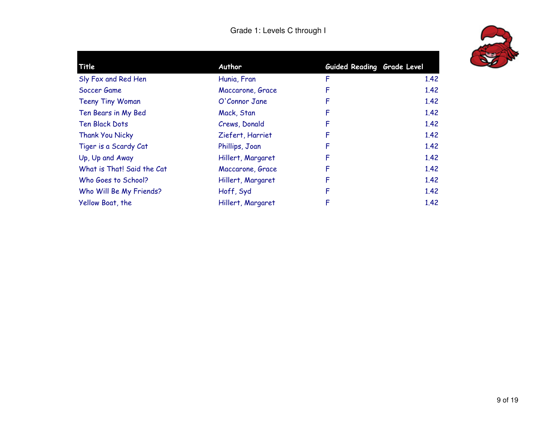| Title                      | Author            | Guided Reading Grade Level |      |
|----------------------------|-------------------|----------------------------|------|
| Sly Fox and Red Hen        | Hunia, Fran       | F                          | 1.42 |
| Soccer Game                | Maccarone, Grace  | F                          | 1.42 |
| <b>Teeny Tiny Woman</b>    | O'Connor Jane     | F                          | 1.42 |
| Ten Bears in My Bed        | Mack, Stan        | F                          | 1.42 |
| <b>Ten Black Dots</b>      | Crews, Donald     | F                          | 1.42 |
| Thank You Nicky            | Ziefert, Harriet  | F                          | 1.42 |
| Tiger is a Scardy Cat      | Phillips, Joan    | F                          | 1.42 |
| Up, Up and Away            | Hillert, Margaret | F                          | 1.42 |
| What is That! Said the Cat | Maccarone, Grace  | F                          | 1.42 |
| Who Goes to School?        | Hillert, Margaret | F                          | 1.42 |
| Who Will Be My Friends?    | Hoff, Syd         | F                          | 1.42 |
| Yellow Boat, the           | Hillert, Margaret | F                          | 1.42 |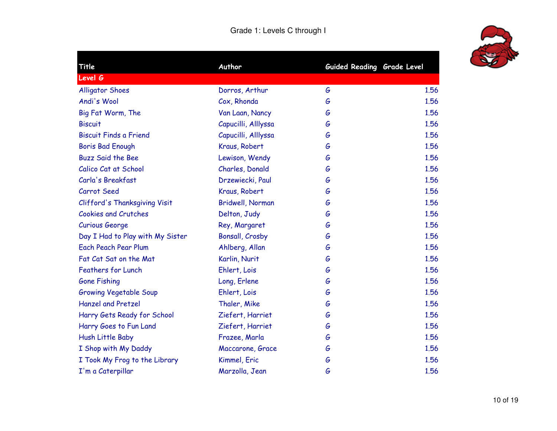

| <b>Title</b>                     | Author              | Guided Reading Grade Level |      |
|----------------------------------|---------------------|----------------------------|------|
| <b>Level G</b>                   |                     |                            |      |
| <b>Alligator Shoes</b>           | Dorros, Arthur      | G                          | 1.56 |
| Andi's Wool                      | Cox, Rhonda         | G                          | 1.56 |
| Big Fat Worm, The                | Van Laan, Nancy     | G                          | 1.56 |
| <b>Biscuit</b>                   | Capucilli, Alllyssa | G                          | 1.56 |
| <b>Biscuit Finds a Friend</b>    | Capucilli, Alllyssa | G                          | 1.56 |
| Boris Bad Enough                 | Kraus, Robert       | G                          | 1.56 |
| <b>Buzz Said the Bee</b>         | Lewison, Wendy      | G                          | 1.56 |
| Calico Cat at School             | Charles, Donald     | G                          | 1.56 |
| Carla's Breakfast                | Drzewiecki, Paul    | G                          | 1.56 |
| Carrot Seed                      | Kraus, Robert       | G                          | 1.56 |
| Clifford's Thanksgiving Visit    | Bridwell, Norman    | G                          | 1.56 |
| <b>Cookies and Crutches</b>      | Delton, Judy        | G                          | 1.56 |
| <b>Curious George</b>            | Rey, Margaret       | G                          | 1.56 |
| Day I Had to Play with My Sister | Bonsall, Crosby     | G                          | 1.56 |
| <b>Each Peach Pear Plum</b>      | Ahlberg, Allan      | G                          | 1.56 |
| Fat Cat Sat on the Mat           | Karlin, Nurit       | G                          | 1.56 |
| <b>Feathers for Lunch</b>        | Ehlert, Lois        | G                          | 1.56 |
| <b>Gone Fishing</b>              | Long, Erlene        | G                          | 1.56 |
| <b>Growing Vegetable Soup</b>    | Ehlert, Lois        | G                          | 1.56 |
| <b>Hanzel and Pretzel</b>        | Thaler, Mike        | G                          | 1.56 |
| Harry Gets Ready for School      | Ziefert, Harriet    | G                          | 1.56 |
| Harry Goes to Fun Land           | Ziefert, Harriet    | G                          | 1.56 |
| Hush Little Baby                 | Frazee, Marla       | G                          | 1.56 |
| I Shop with My Daddy             | Maccarone, Grace    | G                          | 1.56 |
| I Took My Frog to the Library    | Kimmel, Eric        | G                          | 1.56 |
| I'm a Caterpillar                | Marzolla, Jean      | G                          | 1.56 |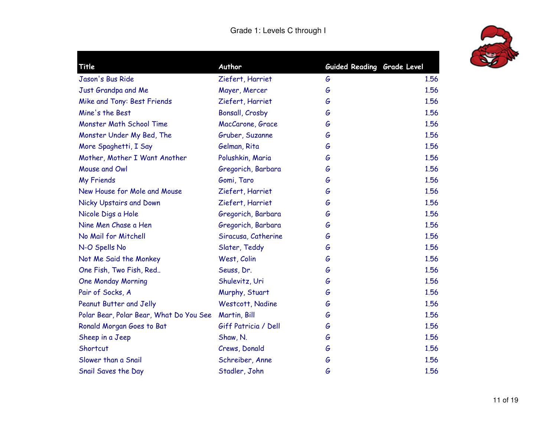

|                                                         | G                          | 1.56                       |
|---------------------------------------------------------|----------------------------|----------------------------|
| Mayer, Mercer                                           | G                          | 1.56                       |
| Ziefert, Harriet                                        | G                          | 1.56                       |
| Bonsall, Crosby                                         | G                          | 1.56                       |
| MacCarone, Grace                                        | G                          | 1.56                       |
| Gruber, Suzanne                                         | G                          | 1.56                       |
| Gelman, Rita                                            | G                          | 1.56                       |
| Polushkin, Maria                                        | G                          | 1.56                       |
| Gregorich, Barbara                                      | G                          | 1.56                       |
| Gomi, Taro                                              | G                          | 1.56                       |
| Ziefert, Harriet                                        | G                          | 1.56                       |
| Ziefert, Harriet                                        | G                          | 1.56                       |
| Gregorich, Barbara                                      | G                          | 1.56                       |
| Gregorich, Barbara                                      | G                          | 1.56                       |
| Siracusa, Catherine                                     | G                          | 1.56                       |
| Slater, Teddy                                           | G                          | 1.56                       |
| West, Colin                                             | G                          | 1.56                       |
| Seuss, Dr.                                              | G                          | 1.56                       |
| Shulevitz, Uri                                          | G                          | 1.56                       |
| Murphy, Stuart                                          | G                          | 1.56                       |
| Westcott, Nadine                                        | G                          | 1.56                       |
| Polar Bear, Polar Bear, What Do You See<br>Martin, Bill | G                          | 1.56                       |
| Giff Patricia / Dell                                    | G                          | 1.56                       |
| Shaw, N.                                                | G                          | 1.56                       |
| Crews, Donald                                           | G                          | 1.56                       |
| Schreiber, Anne                                         | G                          | 1.56                       |
| Stadler, John                                           | G                          | 1.56                       |
|                                                         | Author<br>Ziefert, Harriet | Guided Reading Grade Level |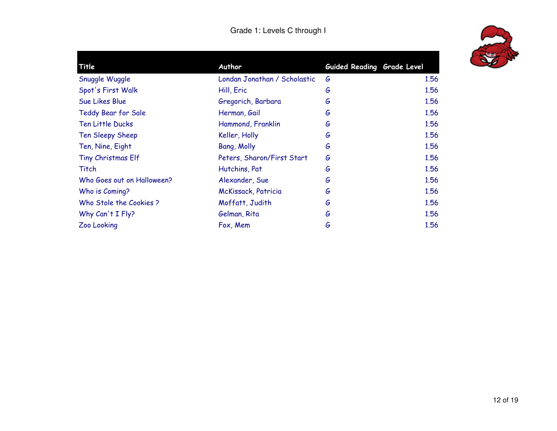| Londan Jonathan / Scholastic | G      | 1.56                       |
|------------------------------|--------|----------------------------|
| Hill, Eric                   | G      | 1.56                       |
| Gregorich, Barbara           | G      | 1.56                       |
| Herman, Gail                 | G      | 1.56                       |
| Hammond, Franklin            | G      | 1.56                       |
| Keller, Holly                | G      | 1.56                       |
| Bang, Molly                  | G      | 1.56                       |
| Peters, Sharon/First Start   | G      | 1.56                       |
| Hutchins, Pat                | G      | 1.56                       |
| Alexander, Sue               | G      | 1.56                       |
| McKissack, Patricia          | G      | 1.56                       |
| Moffatt, Judith              | G      | 1.56                       |
| Gelman, Rita                 | G      | 1.56                       |
| Fox, Mem                     | G      | 1.56                       |
|                              | Author | Guided Reading Grade Level |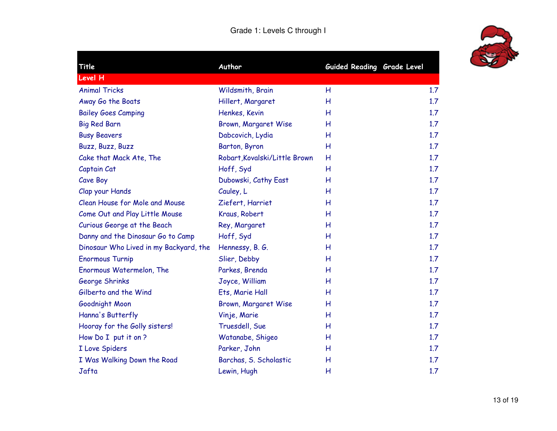

| Title                                  | Author                        | Guided Reading Grade Level |     |
|----------------------------------------|-------------------------------|----------------------------|-----|
| Level H                                |                               |                            |     |
| <b>Animal Tricks</b>                   | Wildsmith, Brain              | H                          | 1.7 |
| Away Go the Boats                      | Hillert, Margaret             | H                          | 1.7 |
| <b>Bailey Goes Camping</b>             | Henkes, Kevin                 | н                          | 1.7 |
| <b>Big Red Barn</b>                    | Brown, Margaret Wise          | н                          | 1.7 |
| <b>Busy Beavers</b>                    | Dabcovich, Lydia              | Н                          | 1.7 |
| Buzz, Buzz, Buzz                       | Barton, Byron                 | Н                          | 1.7 |
| Cake that Mack Ate, The                | Robart, Kovalski/Little Brown | H                          | 1.7 |
| Captain Cat                            | Hoff, Syd                     | Н                          | 1.7 |
| Cave Boy                               | Dubowski, Cathy East          | H                          | 1.7 |
| Clap your Hands                        | Cauley, L                     | H                          | 1.7 |
| Clean House for Mole and Mouse         | Ziefert, Harriet              | н                          | 1.7 |
| Come Out and Play Little Mouse         | Kraus, Robert                 | H                          | 1.7 |
| Curious George at the Beach            | Rey, Margaret                 | H                          | 1.7 |
| Danny and the Dinosaur Go to Camp      | Hoff, Syd                     | н                          | 1.7 |
| Dinosaur Who Lived in my Backyard, the | Hennessy, B. G.               | H                          | 1.7 |
| <b>Enormous Turnip</b>                 | Slier, Debby                  | н                          | 1.7 |
| Enormous Watermelon, The               | Parkes, Brenda                | Н                          | 1.7 |
| George Shrinks                         | Joyce, William                | н                          | 1.7 |
| Gilberto and the Wind                  | Ets, Marie Hall               | Н                          | 1.7 |
| Goodnight Moon                         | Brown, Margaret Wise          | Н                          | 1.7 |
| Hanna's Butterfly                      | Vinje, Marie                  | Н                          | 1.7 |
| Hooray for the Golly sisters!          | Truesdell, Sue                | Н                          | 1.7 |
| How Do I put it on ?                   | Watanabe, Shigeo              | H                          | 1.7 |
| I Love Spiders                         | Parker, John                  | н                          | 1.7 |
| I Was Walking Down the Road            | Barchas, S. Scholastic        | H                          | 1.7 |
| Jafta                                  | Lewin, Hugh                   | н                          | 1.7 |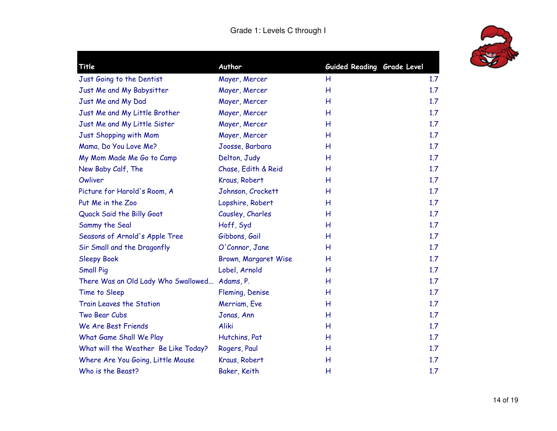

| Title                                         | Author               | Guided Reading Grade Level |     |
|-----------------------------------------------|----------------------|----------------------------|-----|
| Just Going to the Dentist                     | Mayer, Mercer        | H                          | 1.7 |
| Just Me and My Babysitter                     | Mayer, Mercer        | Н                          | 1.7 |
| Just Me and My Dad                            | Mayer, Mercer        | Н                          | 1.7 |
| Just Me and My Little Brother                 | Mayer, Mercer        | Н                          | 1.7 |
| Just Me and My Little Sister                  | Mayer, Mercer        | Н                          | 1.7 |
| Just Shopping with Mom                        | Mayer, Mercer        | H                          | 1.7 |
| Mama, Do You Love Me?                         | Joosse, Barbara      | H                          | 1.7 |
| My Mom Made Me Go to Camp                     | Delton, Judy         | Н                          | 1.7 |
| New Baby Calf, The                            | Chase, Edith & Reid  | Н                          | 1.7 |
| Owliver                                       | Kraus, Robert        | Н                          | 1.7 |
| Picture for Harold's Room, A                  | Johnson, Crockett    | Н                          | 1.7 |
| Put Me in the Zoo                             | Lopshire, Robert     | Н                          | 1.7 |
| Quack Said the Billy Goat                     | Causley, Charles     | Н                          | 1.7 |
| Sammy the Seal                                | Hoff, Syd            | Н                          | 1.7 |
| Seasons of Arnold's Apple Tree                | Gibbons, Gail        | Н                          | 1.7 |
| Sir Small and the Dragonfly                   | O'Connor, Jane       | H                          | 1.7 |
| <b>Sleepy Book</b>                            | Brown, Margaret Wise | Н                          | 1.7 |
| <b>Small Pig</b>                              | Lobel, Arnold        | H                          | 1.7 |
| There Was an Old Lady Who Swallowed Adams, P. |                      | H                          | 1.7 |
| Time to Sleep                                 | Fleming, Denise      | Н                          | 1.7 |
| Train Leaves the Station                      | Merriam, Eve         | Н                          | 1.7 |
| Two Bear Cubs                                 | Jonas, Ann           | Н                          | 1.7 |
| We Are Best Friends                           | Aliki                | Н                          | 1.7 |
| What Game Shall We Play                       | Hutchins, Pat        | Н                          | 1.7 |
| What will the Weather Be Like Today?          | Rogers, Paul         | Н                          | 1.7 |
| Where Are You Going, Little Mouse             | Kraus, Robert        | Н                          | 1.7 |
| Who is the Beast?                             | Baker, Keith         | Н                          | 1.7 |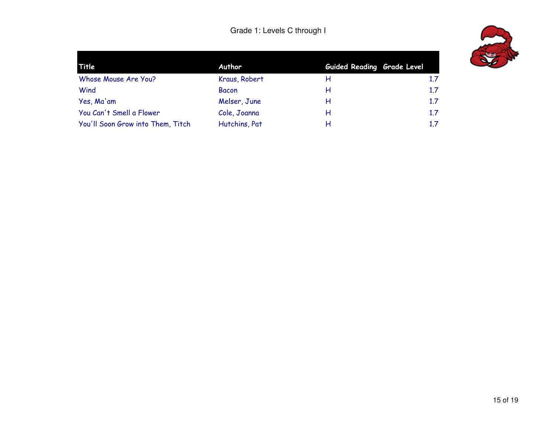| Title                             | Author        | Guided Reading Grade Level |     |
|-----------------------------------|---------------|----------------------------|-----|
| Whose Mouse Are You?              | Kraus, Robert | н                          | 1.7 |
| Wind                              | <b>Bacon</b>  | н                          | 1.7 |
| Yes, Ma'am                        | Melser, June  | н                          | 1.7 |
| You Can't Smell a Flower          | Cole, Joanna  | н                          | 1.7 |
| You'll Soon Grow into Them, Titch | Hutchins, Pat | н                          | 1.7 |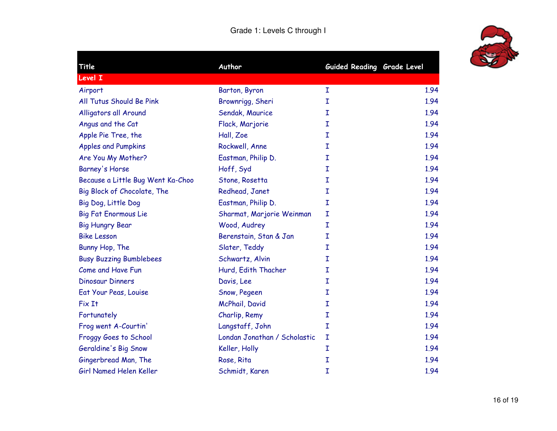

| Title                             | Author                       | Guided Reading Grade Level |      |
|-----------------------------------|------------------------------|----------------------------|------|
| Level I                           |                              |                            |      |
| Airport                           | Barton, Byron                | I                          | 1.94 |
| All Tutus Should Be Pink          | Brownrigg, Sheri             | Ι                          | 1.94 |
| Alligators all Around             | Sendak, Maurice              | I                          | 1.94 |
| Angus and the Cat                 | Flack, Marjorie              | I                          | 1.94 |
| Apple Pie Tree, the               | Hall, Zoe                    | I                          | 1.94 |
| <b>Apples and Pumpkins</b>        | Rockwell, Anne               | I                          | 1.94 |
| Are You My Mother?                | Eastman, Philip D.           | Ι                          | 1.94 |
| Barney's Horse                    | Hoff, Syd                    | I                          | 1.94 |
| Because a Little Bug Went Ka-Choo | Stone, Rosetta               | Ι                          | 1.94 |
| Big Block of Chocolate, The       | Redhead, Janet               | I                          | 1.94 |
| Big Dog, Little Dog               | Eastman, Philip D.           | I                          | 1.94 |
| <b>Big Fat Enormous Lie</b>       | Sharmat, Marjorie Weinman    | I                          | 1.94 |
| <b>Big Hungry Bear</b>            | Wood, Audrey                 | I                          | 1.94 |
| <b>Bike Lesson</b>                | Berenstain, Stan & Jan       | I                          | 1.94 |
| Bunny Hop, The                    | Slater, Teddy                | I                          | 1.94 |
| <b>Busy Buzzing Bumblebees</b>    | Schwartz, Alvin              | I                          | 1.94 |
| Come and Have Fun                 | Hurd, Edith Thacher          | Ι                          | 1.94 |
| <b>Dinosaur Dinners</b>           | Davis, Lee                   | I                          | 1.94 |
| Eat Your Peas, Louise             | Snow, Pegeen                 | Ι                          | 1.94 |
| Fix It                            | McPhail, David               | I                          | 1.94 |
| Fortunately                       | Charlip, Remy                | I                          | 1.94 |
| Frog went A-Courtin'              | Langstaff, John              | I                          | 1.94 |
| Froggy Goes to School             | Londan Jonathan / Scholastic | I                          | 1.94 |
| Geraldine's Big Snow              | Keller, Holly                | I                          | 1.94 |
| Gingerbread Man, The              | Rose, Rita                   | I                          | 1.94 |
| Girl Named Helen Keller           | Schmidt, Karen               | I                          | 1.94 |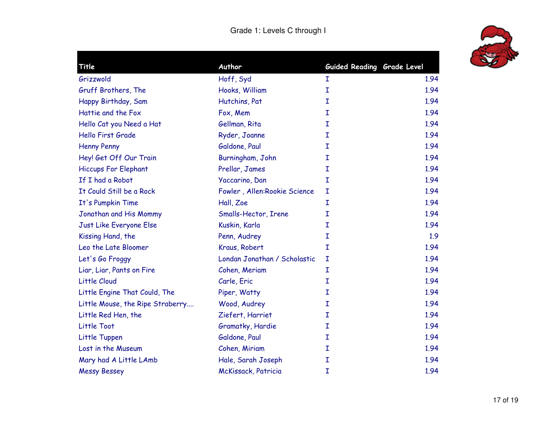

| Title                            | Author                       | Guided Reading Grade Level |      |
|----------------------------------|------------------------------|----------------------------|------|
| Grizzwold                        | Hoff, Syd                    | Ι                          | 1.94 |
| Gruff Brothers, The              | Hooks, William               | I                          | 1.94 |
| Happy Birthday, Sam              | Hutchins, Pat                | I                          | 1.94 |
| Hattie and the Fox               | Fox, Mem                     | I                          | 1.94 |
| Hello Cat you Need a Hat         | Gellman, Rita                | Ĩ.                         | 1.94 |
| <b>Hello First Grade</b>         | Ryder, Joanne                | I                          | 1.94 |
| <b>Henny Penny</b>               | Galdone, Paul                | Ĩ.                         | 1.94 |
| Hey! Get Off Our Train           | Burningham, John             | I                          | 1.94 |
| <b>Hiccups For Elephant</b>      | Prellar, James               | I                          | 1.94 |
| If I had a Robot                 | Yaccarino, Dan               | I                          | 1.94 |
| It Could Still be a Rock         | Fowler, Allen:Rookie Science | I                          | 1.94 |
| It's Pumpkin Time                | Hall, Zoe                    | I                          | 1.94 |
| Jonathan and His Mommy           | Smalls-Hector, Irene         | Ĩ.                         | 1.94 |
| Just Like Everyone Else          | Kuskin, Karla                | I                          | 1.94 |
| Kissing Hand, the                | Penn, Audrey                 | Ĩ.                         | 1.9  |
| Leo the Late Bloomer             | Kraus, Robert                | I                          | 1.94 |
| Let's Go Froggy                  | Londan Jonathan / Scholastic | I                          | 1.94 |
| Liar, Liar, Pants on Fire        | Cohen, Meriam                | I                          | 1.94 |
| Little Cloud                     | Carle, Eric                  | I                          | 1.94 |
| Little Engine That Could, The    | Piper, Watty                 | I                          | 1.94 |
| Little Mouse, the Ripe Straberry | Wood, Audrey                 | I                          | 1.94 |
| Little Red Hen, the              | Ziefert, Harriet             | I                          | 1.94 |
| Little Toot                      | Gramatky, Hardie             | I                          | 1.94 |
| Little Tuppen                    | Galdone, Paul                | I                          | 1.94 |
| Lost in the Museum               | Cohen, Miriam                | I                          | 1.94 |
| Mary had A Little LAmb           | Hale, Sarah Joseph           | I                          | 1.94 |
| <b>Messy Bessey</b>              | McKissack, Patricia          | I                          | 1.94 |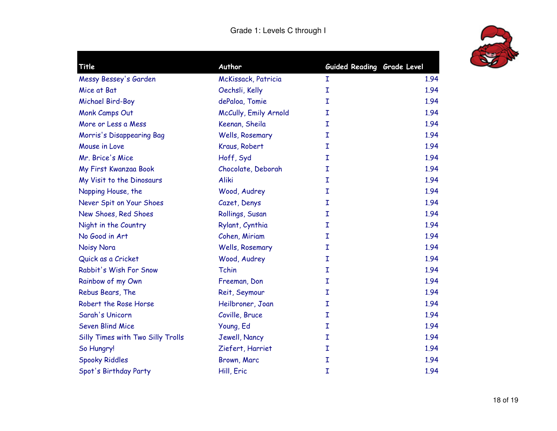

| Title                             | Author                | Guided Reading Grade Level |      |
|-----------------------------------|-----------------------|----------------------------|------|
| Messy Bessey's Garden             | McKissack, Patricia   | I                          | 1.94 |
| Mice at Bat                       | Oechsli, Kelly        | Ĩ.                         | 1.94 |
| Michael Bird-Boy                  | dePaloa, Tomie        | I                          | 1.94 |
| Monk Camps Out                    | McCully, Emily Arnold | I                          | 1.94 |
| More or Less a Mess               | Keenan, Sheila        | I                          | 1.94 |
| Morris's Disappearing Bag         | Wells, Rosemary       | I                          | 1.94 |
| Mouse in Love                     | Kraus, Robert         | I                          | 1.94 |
| Mr. Brice's Mice                  | Hoff, Syd             | I                          | 1.94 |
| My First Kwanzaa Book             | Chocolate, Deborah    | I                          | 1.94 |
| My Visit to the Dinosaurs         | Aliki                 | I                          | 1.94 |
| Napping House, the                | Wood, Audrey          | I                          | 1.94 |
| Never Spit on Your Shoes          | Cazet, Denys          | I                          | 1.94 |
| New Shoes, Red Shoes              | Rollings, Susan       | I                          | 1.94 |
| Night in the Country              | Rylant, Cynthia       | I                          | 1.94 |
| No Good in Art                    | Cohen, Miriam         | I                          | 1.94 |
| Noisy Nora                        | Wells, Rosemary       | I                          | 1.94 |
| Quick as a Cricket                | Wood, Audrey          | I                          | 1.94 |
| Rabbit's Wish For Snow            | Tchin                 | I                          | 1.94 |
| Rainbow of my Own                 | Freeman, Don          | I                          | 1.94 |
| Rebus Bears, The                  | Reit, Seymour         | I                          | 1.94 |
| Robert the Rose Horse             | Heilbroner, Joan      | I                          | 1.94 |
| Sarah's Unicorn                   | Coville, Bruce        | I                          | 1.94 |
| <b>Seven Blind Mice</b>           | Young, Ed             | I                          | 1.94 |
| Silly Times with Two Silly Trolls | Jewell, Nancy         | I                          | 1.94 |
| So Hungry!                        | Ziefert, Harriet      | I                          | 1.94 |
| <b>Spooky Riddles</b>             | Brown, Marc           | I                          | 1.94 |
| Spot's Birthday Party             | Hill, Eric            | Ι                          | 1.94 |